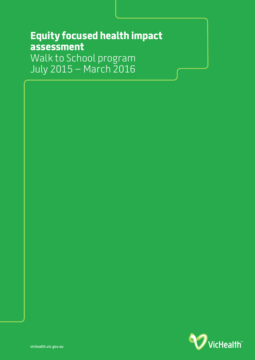# **Equity focused health impact assessment**

Walk to School program July 2015 – March 2016

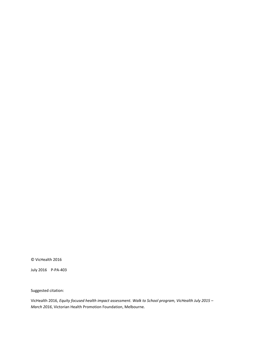© VicHealth 2016

July 2016 P-PA-403

Suggested citation:

VicHealth 2016, *Equity focused health impact assessment. Walk to School program, VicHealth July 2015 – March 2016*, Victorian Health Promotion Foundation, Melbourne.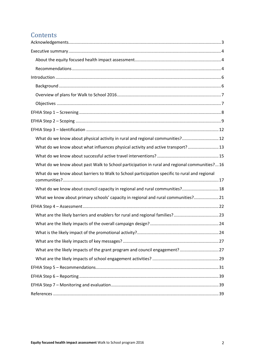# **Contents**

| What do we know about physical activity in rural and regional communities? 12                 |
|-----------------------------------------------------------------------------------------------|
| What do we know about what influences physical activity and active transport? 13              |
|                                                                                               |
| What do we know about past Walk to School participation in rural and regional communities?16  |
|                                                                                               |
| What do we know about barriers to Walk to School participation specific to rural and regional |
| What do we know about council capacity in regional and rural communities? 18                  |
| What we know about primary schools' capacity in regional and rural communities? 21            |
|                                                                                               |
|                                                                                               |
|                                                                                               |
|                                                                                               |
|                                                                                               |
| What are the likely impacts of the grant program and council engagement?27                    |
|                                                                                               |
|                                                                                               |
|                                                                                               |
|                                                                                               |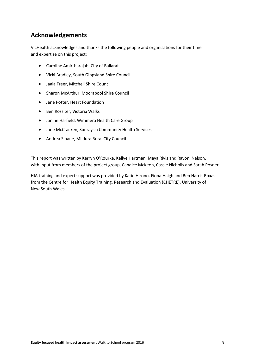# <span id="page-3-0"></span>**Acknowledgements**

VicHealth acknowledges and thanks the following people and organisations for their time and expertise on this project:

- Caroline Amirtharajah, City of Ballarat
- Vicki Bradley, South Gippsland Shire Council
- Jaala Freer, Mitchell Shire Council
- Sharon McArthur, Moorabool Shire Council
- Jane Potter, Heart Foundation
- Ben Rossiter, Victoria Walks
- Janine Harfield, Wimmera Health Care Group
- Jane McCracken, Sunraysia Community Health Services
- Andrea Sloane, Mildura Rural City Council

This report was written by Kerryn O'Rourke, Kellye Hartman, Maya Rivis and Rayoni Nelson, with input from members of the project group, Candice McKeon, Cassie Nicholls and Sarah Posner.

HIA training and expert support was provided by Katie Hirono, Fiona Haigh and Ben Harris-Roxas from the Centre for Health Equity Training, Research and Evaluation (CHETRE), University of New South Wales.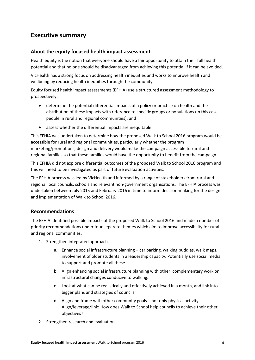# <span id="page-4-0"></span>**Executive summary**

## <span id="page-4-1"></span>**About the equity focused health impact assessment**

Health equity is the notion that everyone should have a fair opportunity to attain their full health potential and that no one should be disadvantaged from achieving this potential if it can be avoided.

VicHealth has a strong focus on addressing health inequities and works to improve health and wellbeing by reducing health inequities through the community.

Equity focused health impact assessments (EFHIA) use a structured assessment methodology to prospectively:

- determine the potential differential impacts of a policy or practice on health and the distribution of these impacts with reference to specific groups or populations (in this case people in rural and regional communities); and
- assess whether the differential impacts are inequitable.

This EFHIA was undertaken to determine how the proposed Walk to School 2016 program would be accessible for rural and regional communities, particularly whether the program marketing/promotions, design and delivery would make the campaign accessible to rural and regional families so that these families would have the opportunity to benefit from the campaign.

This EFHIA did not explore differential outcomes of the proposed Walk to School 2016 program and this will need to be investigated as part of future evaluation activities.

The EFHIA process was led by VicHealth and informed by a range of stakeholders from rural and regional local councils, schools and relevant non-government organisations. The EFHIA process was undertaken between July 2015 and February 2016 in time to inform decision-making for the design and implementation of Walk to School 2016.

## <span id="page-4-2"></span>**Recommendations**

The EFHIA identified possible impacts of the proposed Walk to School 2016 and made a number of priority recommendations under four separate themes which aim to improve accessibility for rural and regional communities.

- 1. Strengthen integrated approach
	- a. Enhance social infrastructure planning car parking, walking buddies, walk maps, involvement of older students in a leadership capacity. Potentially use social media to support and promote all these.
	- b. Align enhancing social infrastructure planning with other, complementary work on infrastructural changes conducive to walking.
	- c. Look at what can be realistically and effectively achieved in a month, and link into bigger plans and strategies of councils.
	- d. Align and frame with other community goals not only physical activity. Align/leverage/link: How does Walk to School help councils to achieve their other objectives?
- 2. Strengthen research and evaluation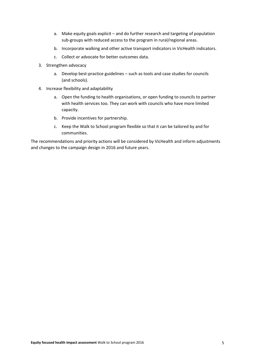- a. Make equity goals explicit and do further research and targeting of population sub-groups with reduced access to the program in rural/regional areas.
- b. Incorporate walking and other active transport indicators in VicHealth indicators.
- c. Collect or advocate for better outcomes data.
- 3. Strengthen advocacy
	- a. Develop best-practice guidelines such as tools and case studies for councils (and schools).
- 4. Increase flexibility and adaptability
	- a. Open the funding to health organisations, or open funding to councils to partner with health services too. They can work with councils who have more limited capacity.
	- b. Provide incentives for partnership.
	- c. Keep the Walk to School program flexible so that it can be tailored by and for communities.

The recommendations and priority actions will be considered by VicHealth and inform adjustments and changes to the campaign design in 2016 and future years.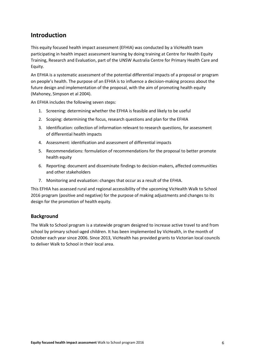## <span id="page-6-0"></span>**Introduction**

This equity focused health impact assessment (EFHIA) was conducted by a VicHealth team participating in health impact assessment learning by doing training at Centre for Health Equity Training, Research and Evaluation, part of the UNSW Australia Centre for Primary Health Care and Equity.

An EFHIA is a systematic assessment of the potential differential impacts of a proposal or program on people's health. The purpose of an EFHIA is to influence a decision-making process about the future design and implementation of the proposal, with the aim of promoting health equity (Mahoney, Simpson et al 2004).

An EFHIA includes the following seven steps:

- 1. Screening: determining whether the EFHIA is feasible and likely to be useful
- 2. Scoping: determining the focus, research questions and plan for the EFHIA
- 3. Identification: collection of information relevant to research questions, for assessment of differential health impacts
- 4. Assessment: identification and assessment of differential impacts
- 5. Recommendations: formulation of recommendations for the proposal to better promote health equity
- 6. Reporting: document and disseminate findings to decision-makers, affected communities and other stakeholders
- 7. Monitoring and evaluation: changes that occur as a result of the EFHIA.

This EFHIA has assessed rural and regional accessibility of the upcoming VicHealth Walk to School 2016 program (positive and negative) for the purpose of making adjustments and changes to its design for the promotion of health equity.

## <span id="page-6-1"></span>**Background**

The Walk to School program is a statewide program designed to increase active travel to and from school by primary school-aged children. It has been implemented by VicHealth, in the month of October each year since 2006. Since 2013, VicHealth has provided grants to Victorian local councils to deliver Walk to School in their local area.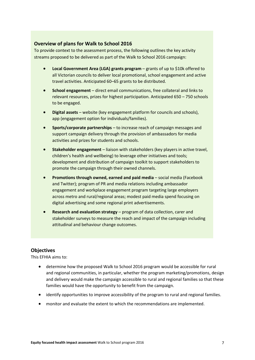## **Overview of plans for Walk to School 2016**

To provide context to the assessment process, the following outlines the key activity streams proposed to be delivered as part of the Walk to School 2016 campaign:

- **Local Government Area (LGA) grants program** grants of up to \$10k offered to all Victorian councils to deliver local promotional, school engagement and active travel activities. Anticipated 60–65 grants to be distributed.
- **School engagement** direct email communications, free collateral and links to relevant resources, prizes for highest participation. Anticipated 650 – 750 schools to be engaged.
- **Digital assets** website (key engagement platform for councils and schools), app (engagement option for individuals/families).
- **Sports/corporate partnerships** to increase reach of campaign messages and support campaign delivery through the provision of ambassadors for media activities and prizes for students and schools.
- **Stakeholder engagement** liaison with stakeholders (key players in active travel, children's health and wellbeing) to leverage other initiatives and tools; development and distribution of campaign toolkit to support stakeholders to promote the campaign through their owned channels.
- **Promotions through owned, earned and paid media** social media (Facebook and Twitter); program of PR and media relations including ambassador engagement and workplace engagement program targeting large employers across metro and rural/regional areas; modest paid media spend focusing on digital advertising and some regional print advertisements.
- **Research and evaluation strategy** program of data collection, carer and stakeholder surveys to measure the reach and impact of the campaign including attitudinal and behaviour change outcomes.

## <span id="page-7-0"></span>**Objectives**

This EFHIA aims to:

- determine how the proposed Walk to School 2016 program would be accessible for rural and regional communities, in particular, whether the program marketing/promotions, design and delivery would make the campaign accessible to rural and regional families so that these families would have the opportunity to benefit from the campaign.
- identify opportunities to improve accessibility of the program to rural and regional families.
- monitor and evaluate the extent to which the recommendations are implemented.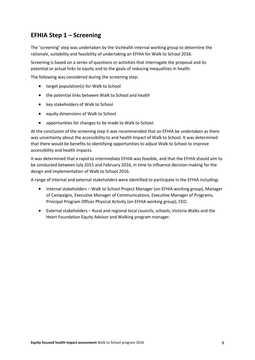# <span id="page-8-0"></span>**EFHIA Step 1 – Screening**

The 'screening' step was undertaken by the VicHealth internal working group to determine the rationale, suitability and feasibility of undertaking an EFHIA for Walk to School 2016.

Screening is based on a series of questions or activities that interrogate the proposal and its potential or actual links to equity and to the goals of reducing inequalities in health.

The following was considered during the screening step:

- target population(s) for Walk to School
- the potential links between Walk to School and health
- key stakeholders of Walk to School
- equity dimensions of Walk to School
- opportunities for changes to be made to Walk to School.

At the conclusion of the screening step it was recommended that an EFHIA be undertaken as there was uncertainty about the accessibility to and health impact of Walk to School. It was determined that there would be benefits to identifying opportunities to adjust Walk to School to improve accessibility and health impacts.

It was determined that a rapid to intermediate EFHIA was feasible, and that the EFHIA should aim to be conducted between July 2015 and February 2016, in time to influence decision-making for the design and implementation of Walk to School 2016.

A range of internal and external stakeholders were identified to participate in the EFHIA including**:**

- Internal stakeholders Walk to School Project Manager (on EFHIA working group), Manager of Campaigns, Executive Manager of Communications, Executive Manager of Programs, Principal Program Officer Physical Activity (on EFHIA working group), CEO.
- External stakeholders Rural and regional local councils, schools, Victoria Walks and the Heart Foundation Equity Advisor and Walking program manager.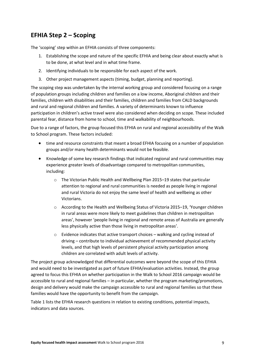# <span id="page-9-0"></span>**EFHIA Step 2 – Scoping**

The 'scoping' step within an EFHIA consists of three components:

- 1. Establishing the scope and nature of the specific EFHIA and being clear about exactly what is to be done, at what level and in what time frame.
- 2. Identifying individuals to be responsible for each aspect of the work.
- 3. Other project management aspects (timing, budget, planning and reporting).

The scoping step was undertaken by the internal working group and considered focusing on a range of population groups including children and families on a low income, Aboriginal children and their families, children with disabilities and their families, children and families from CALD backgrounds and rural and regional children and families. A variety of determinants known to influence participation in children's active travel were also considered when deciding on scope. These included parental fear, distance from home to school, time and walkability of neighbourhoods.

Due to a range of factors, the group focused this EFHIA on rural and regional accessibility of the Walk to School program. These factors included:

- time and resource constraints that meant a broad EFHIA focusing on a number of population groups and/or many health determinants would not be feasible.
- Knowledge of some key research findings that indicated regional and rural communities may experience greater levels of disadvantage compared to metropolitan communities, including:
	- o The Victorian Public Health and Wellbeing Plan 2015–19 states that particular attention to regional and rural communities is needed as people living in regional and rural Victoria do not enjoy the same level of health and wellbeing as other Victorians.
	- o According to the Health and Wellbeing Status of Victoria 2015–19, 'Younger children in rural areas were more likely to meet guidelines than children in metropolitan areas', however 'people living in regional and remote areas of Australia are generally less physically active than those living in metropolitan areas'.
	- o Evidence indicates that active transport choices walking and cycling instead of driving – contribute to individual achievement of recommended physical activity levels, and that high levels of persistent physical activity participation among children are correlated with adult levels of activity.

The project group acknowledged that differential outcomes were beyond the scope of this EFHIA and would need to be investigated as part of future EFHIA/evaluation activities. Instead, the group agreed to focus this EFHIA on whether participation in the Walk to School 2016 campaign would be accessible to rural and regional families – in particular, whether the program marketing/promotions, design and delivery would make the campaign accessible to rural and regional families so that these families would have the opportunity to benefit from the campaign.

Table 1 lists the EFHIA research questions in relation to existing conditions, potential impacts, indicators and data sources.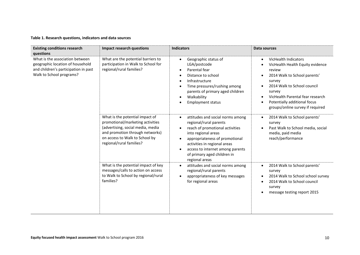#### **Table 1. Research questions, indicators and data sources**

| <b>Existing conditions research</b><br>questions                                                                                        | <b>Impact research questions</b>                                                                                                                                                                          | <b>Indicators</b>                                                                                                                                                                                                                                                                                                               | Data sources                                                                                                                                                                                                                                                               |
|-----------------------------------------------------------------------------------------------------------------------------------------|-----------------------------------------------------------------------------------------------------------------------------------------------------------------------------------------------------------|---------------------------------------------------------------------------------------------------------------------------------------------------------------------------------------------------------------------------------------------------------------------------------------------------------------------------------|----------------------------------------------------------------------------------------------------------------------------------------------------------------------------------------------------------------------------------------------------------------------------|
| What is the association between<br>geographic location of household<br>and children's participation in past<br>Walk to School programs? | What are the potential barriers to<br>participation in Walk to School for<br>regional/rural families?                                                                                                     | Geographic status of<br>$\bullet$<br>LGA/postcode<br>Parental fear<br>$\bullet$<br>Distance to school<br>٠<br>Infrastructure<br>$\bullet$<br>Time pressures/rushing among<br>parents of primary aged children<br>Walkability<br>$\bullet$<br><b>Employment status</b>                                                           | VicHealth Indicators<br>$\bullet$<br>VicHealth Health Equity evidence<br>review<br>2014 Walk to School parents'<br>survey<br>2014 Walk to School council<br>survey<br>VicHealth Parental fear research<br>Potentially additional focus<br>groups/online survey if required |
|                                                                                                                                         | What is the potential impact of<br>promotional/marketing activities<br>(advertising, social media, media<br>and promotion through networks)<br>on access to Walk to School by<br>regional/rural families? | attitudes and social norms among<br>$\bullet$<br>regional/rural parents<br>reach of promotional activities<br>$\bullet$<br>into regional areas<br>appropriateness of promotional<br>$\bullet$<br>activities in regional areas<br>access to internet among parents<br>$\bullet$<br>of primary aged children in<br>regional areas | 2014 Walk to School parents'<br>$\bullet$<br>survey<br>Past Walk to School media, social<br>media, paid media<br>reach/performance                                                                                                                                         |
|                                                                                                                                         | What is the potential impact of key<br>messages/calls to action on access<br>to Walk to School by regional/rural<br>families?                                                                             | attitudes and social norms among<br>regional/rural parents<br>appropriateness of key messages<br>$\bullet$<br>for regional areas                                                                                                                                                                                                | 2014 Walk to School parents'<br>$\bullet$<br>survey<br>2014 Walk to School school survey<br>$\bullet$<br>2014 Walk to School council<br>$\bullet$<br>survey<br>message testing report 2015                                                                                 |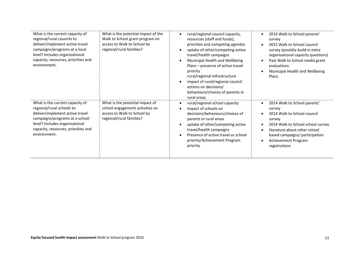| What is the current capacity of<br>regional/rural councils to<br>deliver/implement active travel<br>campaigns/programs at a local<br>level? Includes organisational<br>capacity, resources, priorities and<br>environment. | What is the potential impact of the<br>Walk to School grant program on<br>access to Walk to School by<br>regional/rural families? | rural/regional council capacity,<br>resources (staff and funds),<br>priorities and competing agendas<br>uptake of other/competing active<br>travel/health campaigns<br>Municipal Health and Wellbeing<br>Plans – presence of active travel<br>priority<br>rural/regional infrastructure<br>impact of rural/regional council<br>actions on decisions/<br>behaviours/choices of parents in<br>rural areas | 2014 Walk to School parents'<br>$\bullet$<br>survey<br>2015 Walk to School council<br>survey (possibly build in extra<br>organisational capacity questions)<br>Past Walk to School media grant<br>evaluations<br>Municipal Health and Wellbeing<br>Plans |
|----------------------------------------------------------------------------------------------------------------------------------------------------------------------------------------------------------------------------|-----------------------------------------------------------------------------------------------------------------------------------|---------------------------------------------------------------------------------------------------------------------------------------------------------------------------------------------------------------------------------------------------------------------------------------------------------------------------------------------------------------------------------------------------------|----------------------------------------------------------------------------------------------------------------------------------------------------------------------------------------------------------------------------------------------------------|
| What is the current capacity of<br>regional/rural schools to<br>deliver/implement active travel<br>campaigns/programs at a school<br>level? Includes organisational<br>capacity, resources, priorities and<br>environment. | What is the potential impact of<br>school engagement activities on<br>access to Walk to School by<br>regional/rural families?     | rural/regional school capacity<br>impact of schools on<br>decisions/behaviours/choices of<br>parents in rural areas<br>uptake of other/competing active<br>travel/health campaigns<br>Presence of active travel as school<br>priority/Achievement Program<br>priority                                                                                                                                   | 2014 Walk to School parents'<br>survey<br>2014 Walk to School council<br>survey<br>2014 Walk to School school survey<br>literature about other school<br>based campaigns/ participation<br>Achievement Program<br>registrations                          |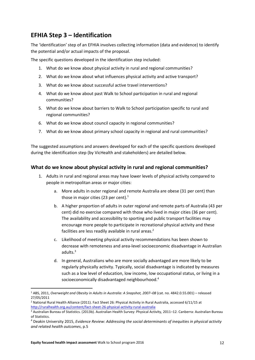# <span id="page-12-0"></span>**EFHIA Step 3 – Identification**

The 'identification' step of an EFHIA involves collecting information (data and evidence) to identify the potential and/or actual impacts of the proposal.

The specific questions developed in the identification step included:

- 1. What do we know about physical activity in rural and regional communities?
- 2. What do we know about what influences physical activity and active transport?
- 3. What do we know about successful active travel interventions?
- 4. What do we know about past Walk to School participation in rural and regional communities?
- 5. What do we know about barriers to Walk to School participation specific to rural and regional communities?
- 6. What do we know about council capacity in regional communities?
- 7. What do we know about primary school capacity in regional and rural communities?

The suggested assumptions and answers developed for each of the specific questions developed during the identification step (by VicHealth and stakeholders) are detailed below.

## <span id="page-12-1"></span>**What do we know about physical activity in rural and regional communities?**

- 1. Adults in rural and regional areas may have lower levels of physical activity compared to people in metropolitan areas or major cities:
	- a. More adults in outer regional and remote Australia are obese (31 per cent) than those in major cities (23 per cent).<sup>1</sup>
	- b. A higher proportion of adults in outer regional and remote parts of Australia (43 per cent) did no exercise compared with those who lived in major cities (36 per cent). The availability and accessibility to sporting and public transport facilities may encourage more people to participate in recreational physical activity and these facilities are less readily available in rural areas.<sup>2</sup>
	- c. Likelihood of meeting physical activity recommendations has been shown to decrease with remoteness and area-level socioeconomic disadvantage in Australian adults.<sup>3</sup>
	- d. In general, Australians who are more socially advantaged are more likely to be regularly physically activity. Typically, social disadvantage is indicated by measures such as a low level of education, low income, low occupational status, or living in a socioeconomically disadvantaged neighbourhood.<sup>4</sup>

1

<sup>1</sup> ABS, 2011, *Overweight and Obesity in Adults in Australia: A Snapshot, 2007–08* (cat. no. 4842.0.55.001) – released 27/05/2011

<sup>2</sup> National Rural Health Alliance (2011). Fact Sheet 26: Physical Activity in Rural Australia, accessed 6/11/15 at <http://ruralhealth.org.au/content/fact-sheet-26-physical-activity-rural-australia>

<sup>3</sup> Australian Bureau of Statistics. (2013b). Australian Health Survey: Physical Activity, 2011–12. Canberra: Australian Bureau of Statistics.

<sup>4</sup> Deakin University 2015, *Evidence Review: Addressing the social determinants of inequities in physical activity and related health outcomes*, p.5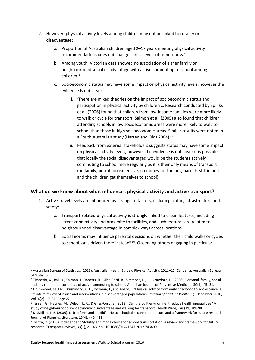- 2. However, physical activity levels among children may not be linked to rurality or disadvantage:
	- a. Proportion of Australian children aged 2–17 years meeting physical activity recommendations does not change across levels of remoteness. 5
	- b. Among youth, Victorian data showed no association of either family or neighbourhood social disadvantage with active commuting to school among children.<sup>6</sup>
	- c. Socioeconomic status may have some impact on physical activity levels, however the evidence is not clear:
		- i. 'There are mixed theories on the impact of socioeconomic status and participation in physical activity by children … Research conducted by Spinks et al. (2006) found that children from low-income families were more likely to walk or cycle for transport. Salmon et al. (2005) also found that children attending schools in low socioeconomic areas were more likely to walk to school than those in high socioeconomic areas. Similar results were noted in a South Australian study (Harten and Olds 2004).' 7
		- ii. Feedback from external stakeholders suggests status may have some impact on physical activity levels, however the evidence is not clear: it is possible that locally the social disadvantaged would be the students actively commuting to school more regularly as it is their only means of transport (no family, petrol too expensive, no money for the bus, parents still in bed and the children get themselves to school).

## <span id="page-13-0"></span>**What do we know about what influences physical activity and active transport?**

- 1. Active travel levels are influenced by a range of factors, including traffic, infrastructure and safety:
	- a. Transport-related physical activity is strongly linked to urban features, including street connectivity and proximity to facilities, and such features are related to neighbourhood disadvantage in complex ways across locations.<sup>8</sup>
	- b. Social norms may influence parental decisions on whether their child walks or cycles to school, or is driven there instead<sup>9 10</sup>. Observing others engaging in particular

1

<sup>5</sup> Australian Bureau of Statistics. (2013). Australian Health Survey: Physical Activity, 2011–12. Canberra: Australian Bureau of Statistics.

<sup>6</sup> Timperio, A., Ball, K., Salmon, J., Roberts, R., Giles-Corti, B., Simmons, D., . . . Crawford, D. (2006). Personal, family, social, and environmental correlates of active commuting to school. American Journal of Preventive Medicine, 30(1), 45–51. <sup>7</sup> Drummond, M. J.N., Drummond, C. E., Dollman, J., and Abery, L. 'Physical activity from early childhood to adolescence: a literature review of issues and interventions in disadvantaged populations', *Journal of Student Wellbeing.* December 2010, Vol. 4(2), 17–31. Page 22

<sup>8</sup> Turrell, G., Haynes, M., Wilson, L. A., & Giles-Corti, B. (2013). Can the built environment reduce health inequalities? A study of neighbourhood socioeconomic disadvantage and walking for transport. Health Place, Jan (19), 89–98. <sup>9</sup> McMillan, T. E. (2005). Urban form and a child's trip to school: the current literature and a framework for future research. Journal of Planning Literature, 19(4), 440–456.

<sup>&</sup>lt;sup>10</sup> Mitra, R. (2013). Independent Mobility and mode choice for school transportation: a review and framework for future research. Transport Reviews, 33(1), 21–43. doi: 10.1080/01441647.2012.743490.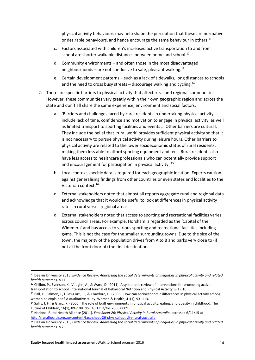physical activity behaviours may help shape the perception that these are normative or desirable behaviours, and hence encourage the same behaviour in others.<sup>11</sup>

- c. Factors associated with children's increased active transportation to and from school are shorter walkable distances between home and school.<sup>12</sup>
- d. Community environments and often those in the most disadvantaged neighbourhoods – are not conducive to safe, pleasant walking.<sup>13</sup>
- e. Certain development patterns such as a lack of sidewalks, long distances to schools and the need to cross busy streets  $-$  discourage walking and cycling.<sup>14</sup>
- 2. There are specific barriers to physical activity that affect rural and regional communities. However, these communities vary greatly within their own geographic region and across the state and don't all share the same experience, environment and social factors:
	- a. 'Barriers and challenges faced by rural residents in undertaking physical activity ... include lack of time, confidence and motivation to engage in physical activity, as well as limited transport to sporting facilities and events … Other barriers are cultural. They include the belief that 'rural work' provides sufficient physical activity so that it is not necessary to pursue physical activity during leisure hours. Other barriers to physical activity are related to the lower socioeconomic status of rural residents, making them less able to afford sporting equipment and fees. Rural residents also have less access to healthcare professionals who can potentially provide support and encouragement for participation in physical activity.' 15
	- b. Local context-specific data is required for each geographic location. Experts caution against generalising findings from other countries or even states and localities to the Victorian context.<sup>16</sup>
	- c. External stakeholders noted that almost all reports aggregate rural and regional data and acknowledge that it would be useful to look at differences in physical activity rates in rural versus regional areas.
	- d. External stakeholders noted that access to sporting and recreational facilities varies across council areas. For example, Horsham is regarded as the 'Capital of the Wimmera' and has access to various sporting and recreational facilities including gyms. This is not the case for the smaller surrounding towns. Due to the size of the town, the majority of the population drives from A to B and parks very close to (if not at the front door of) the final destination.

<sup>11</sup> Deakin University 2015, *Evidence Review: Addressing the social determinants of inequities in physical activity and related health outcomes*, p.11

<sup>12</sup> Chillón, P., Evenson, K., Vaughn, A., & Ward, D. (2011). A systematic review of interventions for promoting active transportation to school. International Journal of Behavioral Nutrition and Physical Activity, 8(1), 10.

<sup>13</sup> Ball, K., Salmon, J., Giles-Corti, B., & Crawford, D. (2006). How can socioeconomic differences in physical activity among women be explained? A qualitative study. Women & Health, 41(1), 93–113.

<sup>14</sup> Sallis, J. F., & Glanz, K. (2006). The role of built environments in physical activity, eating, and obesity in childhood. The Future of Children, 16(1), 89–108. doi: 10.1353/foc.2006.0009

<sup>15</sup> National Rural Health Alliance (2011). *Fact Sheet 26: Physical Activity in Rural Australia*, accessed 6/11/15 at <http://ruralhealth.org.au/content/fact-sheet-26-physical-activity-rural-australia>

<sup>16</sup> Deakin University 2015, *Evidence Review: Addressing the social determinants of inequities in physical activity and related health outcomes*, p.7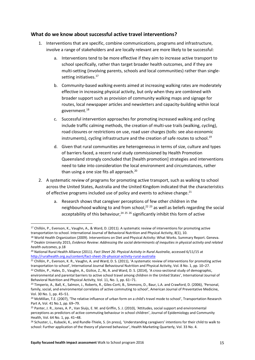## <span id="page-15-0"></span>**What do we know about successful active travel interventions?**

- 1. Interventions that are specific, combine communications, programs and infrastructure, involve a range of stakeholders and are locally relevant are more likely to be successful:
	- a. Interventions tend to be more effective if they aim to increase active transport to school specifically, rather than target broader health outcomes, and if they are multi-setting (involving parents, schools and local communities) rather than singlesetting initiatives.<sup>17</sup>
	- b. Community-based walking events aimed at increasing walking rates are moderately effective in increasing physical activity, but only when they are combined with broader support such as provision of community walking maps and signage for routes, local newspaper articles and newsletters and capacity-building within local government.<sup>18</sup>
	- c. Successful intervention approaches for promoting increased walking and cycling include traffic calming methods, the creation of multi-use trails (walking, cycling), road closures or restrictions on use, road user charges (tolls: see also economic instruments), cycling infrastructure and the creation of safe routes to school.<sup>19</sup>
	- d. Given that rural communities are heterogeneous in terms of size, culture and types of barriers faced, a recent rural study commissioned by Health Promotion Queensland strongly concluded that [health promotion] strategies and interventions need to take into consideration the local environment and circumstances, rather than using a one size fits all approach.<sup>20</sup>
- 2. A systematic review of programs for promoting active transport, such as walking to school across the United States, Australia and the United Kingdom indicated that the characteristics of effective programs included use of policy and events to achieve change.<sup>21</sup>
	- a. Research shows that caregiver perceptions of few other children in the neighbourhood walking to and from school,<sup>22</sup><sup>23</sup> as well as beliefs regarding the social acceptability of this behaviour,<sup>24 25</sup> 26 significantly inhibit this form of active

<sup>&</sup>lt;sup>17</sup> Chillón, P., Evenson, K., Vaughn, A., & Ward, D. (2011). A systematic review of interventions for promoting active transportation to school. International Journal of Behavioral Nutrition and Physical Activity, 8(1), 10.

<sup>&</sup>lt;sup>18</sup> World Health Organization (2009). Interventions on Diet and Physical Activity: What Works. Summary Report. Geneva. <sup>19</sup> Deakin University 2015, *Evidence Review: Addressing the social determinants of inequities in physical activity and related health outcomes*, p.18

<sup>20</sup> National Rural Health Alliance (2011). *Fact Sheet 26: Physical Activity in Rural Australia*, accessed 6/11/15 at <http://ruralhealth.org.au/content/fact-sheet-26-physical-activity-rural-australia>

<sup>&</sup>lt;sup>21</sup> Chillón, P., Evenson, K. R., Vaughn, A. and Ward, D. S. (2011), 'A systematic review of interventions for promoting active transportation to school', International Journal Behavioural Nutrition and Physical Activity, Vol. 8 No. 1, pp. 10–27. <sup>22</sup> Chillón, P., Hales, D., Vaughn, A., Gizlice, Z., Ni, A. and Ward, D. S. (2014), 'A cross-sectional study of demographic, environmental and parental barriers to active school travel among children in the United States', International Journal of Behavioral Nutrition and Physical Activity, Vol. 11, No. 1, pp. 61–71.

<sup>&</sup>lt;sup>23</sup> Timperio, A., Ball, K., Salmon, J., Roberts, R., Giles-Corti, B., Simmons, D., Baur, L.A. and Crawford, D. (2006), 'Personal, family, social, and environmental correlates of active commuting to school', American Journal of Preventative Medicine, Vol. 30 No. 1, pp. 45–51.

<sup>&</sup>lt;sup>24</sup> McMillan, T.E. (2007), 'The relative influence of urban form on a child's travel mode to school', Transportation Research Part A, Vol. 41 No.1, pp. 69–79.

<sup>25</sup> Panter, J. R., Jones, A. P., Van Sluijs, E. M. and Griffin, S. J. (2010), 'Attitudes, social support and environmental perceptions as predictors of active commuting behaviour in school children', Journal of Epidemiology and Community Health, Vol. 64 No. 1, pp. 41–48.

<sup>&</sup>lt;sup>26</sup> Schuster, L., Kubacki, K., and Rundle-Thiele, S. (in press), 'Understanding caregivers' intentions for their child to walk to school: Further application of the theory of planned behaviour', Health Marketing Quarterly, Vol. 33 No. 4.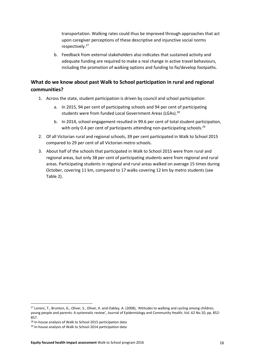transportation. Walking rates could thus be improved through approaches that act upon caregiver perceptions of these descriptive and injunctive social norms respectively. 27

b. Feedback from external stakeholders also indicates that sustained activity and adequate funding are required to make a real change in active travel behaviours, including the promotion of walking options and funding to fix/develop footpaths.

## <span id="page-16-0"></span>**What do we know about past Walk to School participation in rural and regional communities?**

- 1. Across the state, student participation is driven by council and school participation:
	- a. In 2015, 94 per cent of participating schools and 94 per cent of participating students were from funded Local Government Areas (LGAs).<sup>28</sup>
	- b. In 2014, school engagement resulted in 99.6 per cent of total student participation, with only 0.4 per cent of participants attending non-participating schools.<sup>29</sup>
- 2. Of all Victorian rural and regional schools, 39 per cent participated in Walk to School 2015 compared to 29 per cent of all Victorian metro schools.
- 3. About half of the schools that participated in Walk to School 2015 were from rural and regional areas, but only 38 per cent of participating students were from regional and rural areas. Participating students in regional and rural areas walked on average 15 times during October, covering 11 km, compared to 17 walks covering 12 km by metro students (see Table 2).

<sup>27</sup> Lorenc, T., Brunton, G., Oliver, S., Oliver, K. and Oakley, A. (2008), 'Attitudes to walking and cycling among children, young people and parents: A systematic review', Journal of Epidemiology and Community Health, Vol. 62 No.10, pp. 852- 857.

<sup>28</sup> In-house analysis of Walk to School 2015 participation data

<sup>29</sup> In-house analysis of Walk to School 2014 participation data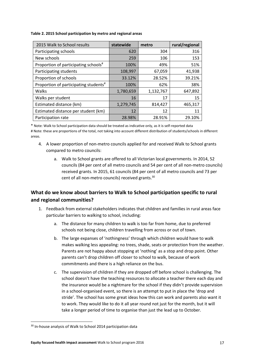**Table 2. 2015 School participation by metro and regional areas**

| 2015 Walk to School results                       | statewide | metro     | rural/regional |
|---------------------------------------------------|-----------|-----------|----------------|
| Participating schools                             | 620       | 304       | 316            |
| New schools                                       | 259       | 106       | 153            |
| Proportion of participating schools#              | 100%      | 49%       | 51%            |
| Participating students                            | 108,997   | 67,059    | 41,938         |
| Proportion of schools                             | 33.12%    | 28.52%    | 39.21%         |
| Proportion of participating students <sup>#</sup> | 100%      | 62%       | 38%            |
| Walks                                             | 1,780,659 | 1,132,767 | 647,892        |
| Walks per student                                 | 16        | 17        | 15             |
| Estimated distance (km)                           | 1,279,745 | 814,427   | 465,317        |
| Estimated distance per student (km)               | 12        | 12        | 11             |
| Participation rate                                | 28.98%    | 28.91%    | 29.10%         |

\* Note: Walk to School participation data should be treated as indicative only, as it is self-reported data # Note: these are proportions of the total, not taking into account different distribution of students/schools in different areas.

- 4. A lower proportion of non-metro councils applied for and received Walk to School grants compared to metro councils:
	- a. Walk to School grants are offered to all Victorian local governments. In 2014, 52 councils (84 per cent of all metro councils and 54 per cent of all non-metro councils) received grants. In 2015, 61 councils (84 per cent of all metro councils and 73 per cent of all non-metro councils) received grants.<sup>30</sup>

## <span id="page-17-0"></span>**What do we know about barriers to Walk to School participation specific to rural and regional communities?**

- 1. Feedback from external stakeholders indicates that children and families in rural areas face particular barriers to walking to school, including:
	- a. The distance for many children to walk is too far from home, due to preferred schools not being close, children travelling from across or out of town.
	- b. The large expanses of 'nothingness' through which children would have to walk makes walking less appealing: no trees, shade, seats or protection from the weather. Parents are not happy about stopping at 'nothing' as a stop and drop point. Other parents can't drop children off closer to school to walk, because of work commitments and there is a high reliance on the bus.
	- c. The supervision of children if they are dropped off before school is challenging. The school doesn't have the teaching resources to allocate a teacher there each day and the insurance would be a nightmare for the school if they didn't provide supervision in a school-organised event, so there is an attempt to put in place the 'drop and stride'. The school has some great ideas how this can work and parents also want it to work. They would like to do it all year round not just for the month, but it will take a longer period of time to organise than just the lead up to October.

<sup>&</sup>lt;sup>30</sup> In-house analysis of Walk to School 2014 participation data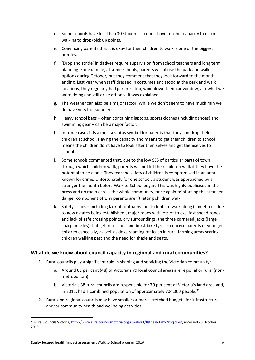- d. Some schools have less than 30 students so don't have teacher capacity to escort walking to drop/pick up points.
- e. Convincing parents that it is okay for their children to walk is one of the biggest hurdles.
- f. 'Drop and stride' initiatives require supervision from school teachers and long term planning. For example, at some schools, parents will utilise the park and walk options during October, but they comment that they look forward to the month ending. Last year when staff dressed in costumes and stood at the park and walk locations, they regularly had parents stop, wind down their car window, ask what we were doing and still drive off once it was explained.
- g. The weather can also be a major factor. While we don't seem to have much rain we do have very hot summers.
- h. Heavy school bags often containing laptops, sports clothes (including shoes) and swimming gear – can be a major factor.
- i. In some cases it is almost a status symbol for parents that they can drop their children at school. Having the capacity and means to get their children to school means the children don't have to look after themselves and get themselves to school.
- j. Some schools commented that, due to the low SES of particular parts of town through which children walk, parents will not let their children walk if they have the potential to be alone. They fear the safety of children is compromised in an area known for crime. Unfortunately for one school, a student was approached by a stranger the month before Walk to School began. This was highly publicised in the press and on radio across the whole community, once again reinforcing the stranger danger component of why parents aren't letting children walk.
- k. Safety issues including lack of footpaths for students to walk along (sometimes due to new estates being established), major roads with lots of trucks, fast speed zones and lack of safe crossing points, dry surroundings, the three cornered jacks (large sharp prickles) that get into shoes and burst bike tyres – concern parents of younger children especially, as well as dogs roaming off leash in rural farming areas scaring children walking past and the need for shade and seats.

## <span id="page-18-0"></span>**What do we know about council capacity in regional and rural communities?**

- 1. Rural councils play a significant role in shaping and servicing the Victorian community:
	- a. Around 61 per cent (48) of Victoria's 79 local council areas are regional or rural (nonmetropolitan).
	- b. Victoria's 38 rural councils are responsible for 79 per cent of Victoria's land area and, in 2011, had a combined population of approximately 704,000 people. $31$
- 2. Rural and regional councils may have smaller or more stretched budgets for infrastructure and/or community health and wellbeing activities:

<sup>31</sup> Rural Councils Victoria[, http://www.ruralcouncilsvictoria.org.au/about/#sthash.tXhv7khq.dpuf,](http://www.ruralcouncilsvictoria.org.au/about/#sthash.tXhv7khq.dpuf) accessed 28 October 2015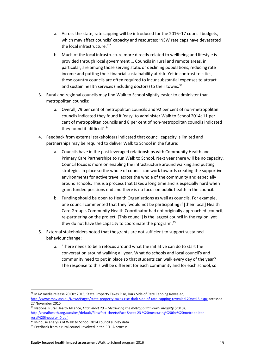- a. Across the state, rate capping will be introduced for the 2016–17 council budgets, which may affect councils' capacity and resources: 'NSW rate caps have devastated the local infrastructure.'<sup>32</sup>
- b. Much of the local infrastructure more directly related to wellbeing and lifestyle is provided through local government … Councils in rural and remote areas, in particular, are among those serving static or declining populations, reducing rate income and putting their financial sustainability at risk. Yet in contrast to cities, these country councils are often required to incur substantial expenses to attract and sustain health services (including doctors) to their towns.<sup>33</sup>
- 3. Rural and regional councils may find Walk to School slightly easier to administer than metropolitan councils:
	- a. Overall, 79 per cent of metropolitan councils and 92 per cent of non-metropolitan councils indicated they found it 'easy' to administer Walk to School 2014; 11 per cent of metropolitan councils and 8 per cent of non-metropolitan councils indicated they found it 'difficult'. 34
- 4. Feedback from external stakeholders indicated that council capacity is limited and partnerships may be required to deliver Walk to School in the future:
	- a. Councils have in the past leveraged relationships with Community Health and Primary Care Partnerships to run Walk to School. Next year there will be no capacity. Council focus is more on enabling the infrastructure around walking and putting strategies in place so the whole of council can work towards creating the supportive environments for active travel across the whole of the community and especially around schools. This is a process that takes a long time and is especially hard when grant funded positions end and there is no focus on public health in the council.
	- b. Funding should be open to Health Organisations as well as councils. For example, one council commented that they 'would not be participating if [their local] Health Care Group's Community Health Coordinator had not originally approached [council] re-partnering on the project. [This council] is the largest council in the region, yet they do not have the capacity to coordinate the program'.<sup>35</sup>
- 5. External stakeholders noted that the grants are not sufficient to support sustained behaviour change:
	- a. 'There needs to be a refocus around what the initiative can do to start the conversation around walking all year. What do schools and local council's and community need to put in place so that students can walk every day of the year? The response to this will be different for each community and for each school, so

<sup>32</sup> MAV media release 20 Oct 2015, State Property Taxes Rise, Dark Side of Rate Capping Revealed, <http://www.mav.asn.au/News/Pages/state-property-taxes-rise-dark-side-of-rate-capping-revealed-20oct15.aspx> accessed

<sup>27</sup> November 2015

<sup>33</sup> National Rural Health Alliance, *Fact Sheet 23 – Measuring the metropolitan-rural inequity* (2010), [http://ruralhealth.org.au/sites/default/files/fact-sheets/Fact-Sheet-23-%20measuring%20the%20metropolitan](http://ruralhealth.org.au/sites/default/files/fact-sheets/Fact-Sheet-23-%20measuring%20the%20metropolitan-rural%20inequity_0.pdf)[rural%20inequity\\_0.pdf](http://ruralhealth.org.au/sites/default/files/fact-sheets/Fact-Sheet-23-%20measuring%20the%20metropolitan-rural%20inequity_0.pdf)

<sup>34</sup> In-house analysis of Walk to School 2014 council survey data

<sup>&</sup>lt;sup>35</sup> Feedback from a rural council involved in the EFHIA process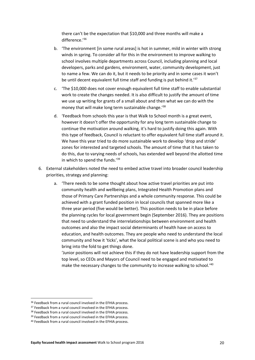there can't be the expectation that \$10,000 and three months will make a difference.' 36

- b. 'The environment [in some rural areas] is hot in summer, mild in winter with strong winds in spring. To consider all for this in the environment to improve walking to school involves multiple departments across Council, including planning and local developers, parks and gardens, environment, water, community development, just to name a few. We can do it, but it needs to be priority and in some cases it won't be until decent equivalent full time staff and funding is put behind it.'<sup>37</sup>
- c. 'The \$10,000 does not cover enough equivalent full time staff to enable substantial work to create the changes needed. It is also difficult to justify the amount of time we use up writing for grants of a small about and then what we can do with the money that will make long term sustainable change.<sup>'38</sup>
- d. 'Feedback from schools this year is that Walk to School month is a great event, however it doesn't offer the opportunity for any long term sustainable change to continue the motivation around walking, it's hard to justify doing this again. With this type of feedback, Council is reluctant to offer equivalent full time staff around it. We have this year tried to do more sustainable work to develop 'drop and stride' zones for interested and targeted schools. The amount of time that it has taken to do this, due to varying needs of schools, has extended well beyond the allotted time in which to spend the funds.<sup>'39</sup>
- 6. External stakeholders noted the need to embed active travel into broader council leadership priorities, strategy and planning:
	- a. 'There needs to be some thought about how active travel priorities are put into community health and wellbeing plans, Integrated Health Promotion plans and those of Primary Care Partnerships and a whole community response. This could be achieved with a grant funded position in local councils that spanned more like a three year period (five would be better). This position needs to be in place before the planning cycles for local government begin (September 2016). They are positions that need to understand the interrelationships between environment and health outcomes and also the impact social determinants of health have on access to education, and health outcomes. They are people who need to understand the local community and how it 'ticks', what the local political scene is and who you need to bring into the fold to get things done.

'Junior positions will not achieve this if they do not have leadership support from the top level, so CEOs and Mayors of Council need to be engaged and motivated to make the necessary changes to the community to increase walking to school.'<sup>40</sup>

<sup>&</sup>lt;sup>36</sup> Feedback from a rural council involved in the EFHIA process.

<sup>&</sup>lt;sup>37</sup> Feedback from a rural council involved in the EFHIA process.

<sup>38</sup> Feedback from a rural council involved in the EFHIA process.

<sup>&</sup>lt;sup>39</sup> Feedback from a rural council involved in the EFHIA process.

<sup>40</sup> Feedback from a rural council involved in the EFHIA process.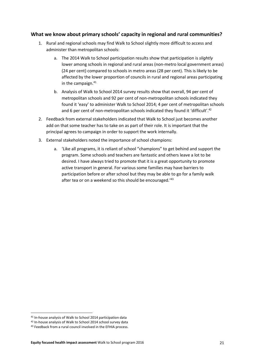## <span id="page-21-0"></span>**What we know about primary schools' capacity in regional and rural communities?**

- 1. Rural and regional schools may find Walk to School slightly more difficult to access and administer than metropolitan schools:
	- a. The 2014 Walk to School participation results show that participation is *slightly* lower among schools in regional and rural areas (non-metro local government areas) (24 per cent) compared to schools in metro areas (28 per cent). This is likely to be affected by the lower proportion of councils in rural and regional areas participating in the campaign.<sup>41</sup>
	- b. Analysis of Walk to School 2014 survey results show that overall, 94 per cent of metropolitan schools and 92 per cent of non-metropolitan schools indicated they found it 'easy' to administer Walk to School 2014; 4 per cent of metropolitan schools and 6 per cent of non-metropolitan schools indicated they found it 'difficult'.<sup>42</sup>
- 2. Feedback from external stakeholders indicated that Walk to School just becomes another add on that some teacher has to take on as part of their role. It is important that the principal agrees to campaign in order to support the work internally.
- 3. External stakeholders noted the importance of school champions:
	- a. 'Like all programs, it is reliant of school "champions" to get behind and support the program. Some schools and teachers are fantastic and others leave a lot to be desired. I have always tried to promote that it is a great opportunity to promote active transport in general. For various some families may have barriers to participation before or after school but they may be able to go for a family walk after tea or on a weekend so this should be encouraged.<sup>143</sup>

1

<sup>&</sup>lt;sup>41</sup> In-house analysis of Walk to School 2014 participation data

<sup>42</sup> In-house analysis of Walk to School 2014 school survey data

<sup>43</sup> Feedback from a rural council involved in the EFHIA process.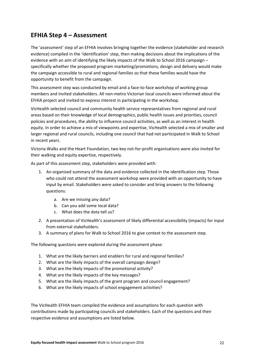# <span id="page-22-0"></span>**EFHIA Step 4 – Assessment**

The 'assessment' step of an EFHIA involves bringing together the evidence (stakeholder and research evidence) compiled in the 'identification' step, then making decisions about the implications of the evidence with an aim of identifying the likely impacts of the Walk to School 2016 campaign – specifically whether the proposed program marketing/promotions, design and delivery would make the campaign accessible to rural and regional families so that these families would have the opportunity to benefit from the campaign.

This assessment step was conducted by email and a face-to-face workshop of working group members and invited stakeholders. All non-metro Victorian local councils were informed about the EFHIA project and invited to express interest in participating in the workshop.

VicHealth selected council and community health service representatives from regional and rural areas based on their knowledge of local demographics, public health issues and priorities, council policies and procedures, the ability to influence council activities, as well as an interest in health equity. In order to achieve a mix of viewpoints and expertise, VicHealth selected a mix of smaller and larger regional and rural councils, including one council that had not participated in Walk to School in recent years.

Victoria Walks and the Heart Foundation, two key not-for-profit organisations were also invited for their walking and equity expertise, respectively.

As part of this assessment step, stakeholders were provided with:

- 1. An organised summary of the data and evidence collected in the identification step. Those who could not attend the assessment workshop were provided with an opportunity to have input by email. Stakeholders were asked to consider and bring answers to the following questions:
	- a. Are we missing any data?
	- b. Can you add some local data?
	- c. What does the data tell us?
- 2. A presentation of VicHealth's assessment of likely differential accessibility (impacts) for input from external stakeholders.
- 3. A summary of plans for Walk to School 2016 to give context to the assessment step.

The following questions were explored during the assessment phase:

- 1. What are the likely barriers and enablers for rural and regional families?
- 2. What are the likely impacts of the overall campaign design?
- 3. What are the likely impacts of the promotional activity?
- 4. What are the likely impacts of the key messages?
- 5. What are the likely impacts of the grant program and council engagement?
- 6. What are the likely impacts of school engagement activities?

The VicHealth EFHIA team compiled the evidence and assumptions for each question with contributions made by participating councils and stakeholders. Each of the questions and their respective evidence and assumptions are listed below.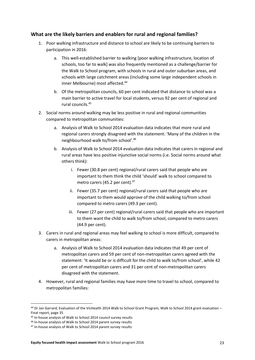## <span id="page-23-0"></span>**What are the likely barriers and enablers for rural and regional families?**

- 1. Poor walking infrastructure and distance to school are likely to be continuing barriers to participation in 2016:
	- a. This well-established barrier to walking [poor walking infrastructure, location of schools, too far to walk] was also frequently mentioned as a challenge/barrier for the Walk to School program, with schools in rural and outer suburban areas, and schools with large catchment areas (including some large independent schools in inner Melbourne) most affected. 44
	- b. Of the metropolitan councils, 60 per cent indicated that distance to school was a main barrier to active travel for local students, versus 92 per cent of regional and rural councils.<sup>45</sup>
- 2. Social norms around walking may be less positive in rural and regional communities compared to metropolitan communities:
	- a. Analysis of Walk to School 2014 evaluation data indicates that more rural and regional carers strongly disagreed with the statement: 'Many of the children in the neighbourhood walk to/from school'. 46
	- b. Analysis of Walk to School 2014 evaluation data indicates that carers in regional and rural areas have less positive injunctive social norms (i.e. Social norms around what others think):
		- i. Fewer (30.8 per cent) regional/rural carers said that people who are important to them think the child 'should' walk to school compared to metro carers (45.2 per cent).<sup>47</sup>
		- ii. Fewer (35.7 per cent) regional/rural carers said that people who are important to them would approve of the child walking to/from school compared to metro carers (49.3 per cent).
		- iii. Fewer (27 per cent) regional/rural carers said that people who are important to them want the child to walk to/from school, compared to metro carers (44.9 per cent).
- 3. Carers in rural and regional areas may feel walking to school is more difficult, compared to carers in metropolitan areas:
	- a. Analysis of Walk to School 2014 evaluation data indicates that 49 per cent of metropolitan carers and 59 per cent of non-metropolitan carers agreed with the statement: 'It would be or is difficult for the child to walk to/from school', while 42 per cent of metropolitan carers and 31 per cent of non-metropolitan carers disagreed with the statement.
- 4. However, rural and regional families may have more time to travel to school, compared to metropolitan families:

<sup>44</sup> Dr Jan Garrard, Evaluation of the VicHealth 2014 Walk to School Grant Program, Walk to School 2014 grant evaluation – Final report, page 35

<sup>45</sup> In-house analysis of Walk to School 2014 council survey results

<sup>46</sup> In-house analysis of Walk to School 2014 parent survey results

<sup>47</sup> In-house analysis of Walk to School 2014 parent survey results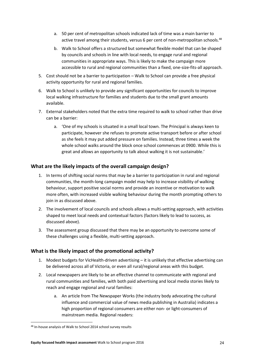- a. 50 per cent of metropolitan schools indicated lack of time was a main barrier to active travel among their students, versus 6 per cent of non-metropolitan schools.<sup>48</sup>
- b. Walk to School offers a structured but somewhat flexible model that can be shaped by councils and schools in line with local needs, to engage rural and regional communities in appropriate ways. This is likely to make the campaign more accessible to rural and regional communities than a fixed, one-size-fits-all approach.
- 5. Cost should not be a barrier to participation Walk to School can provide a free physical activity opportunity for rural and regional families.
- 6. Walk to School is unlikely to provide any significant opportunities for councils to improve local walking infrastructure for families and students due to the small grant amounts available.
- 7. External stakeholders noted that the extra time required to walk to school rather than drive can be a barrier:
	- a. 'One of my schools is situated in a small local town. The Principal is always keen to participate, however she refuses to promote active transport before or after school as she feels it may put added pressure on families. Instead, three times a week the whole school walks around the block once school commences at 0900. While this is great and allows an opportunity to talk about walking it is not sustainable.'

## <span id="page-24-0"></span>**What are the likely impacts of the overall campaign design?**

- 1. In terms of shifting social norms that may be a barrier to participation in rural and regional communities, the month-long campaign model may help to increase visibility of walking behaviour, support positive social norms and provide an incentive or motivation to walk more often, with increased visible walking behaviour during the month prompting others to join in as discussed above.
- 2. The involvement of local councils and schools allows a multi-setting approach, with activities shaped to meet local needs and contextual factors (factors likely to lead to success, as discussed above).
- 3. The assessment group discussed that there may be an opportunity to overcome some of these challenges using a flexible, multi-setting approach.

## <span id="page-24-1"></span>**What is the likely impact of the promotional activity?**

- 1. Modest budgets for VicHealth-driven advertising it is unlikely that effective advertising can be delivered across all of Victoria, or even all rural/regional areas with this budget.
- 2. Local newspapers are likely to be an effective channel to communicate with regional and rural communities and families, with both paid advertising and local media stories likely to reach and engage regional and rural families:
	- a. An article from The Newspaper Works (the industry body advocating the cultural influence and commercial value of news media publishing in Australia) indicates a high proportion of regional consumers are either non- or light-consumers of mainstream media. Regional readers:

<sup>48</sup> In-house analysis of Walk to School 2014 school survey results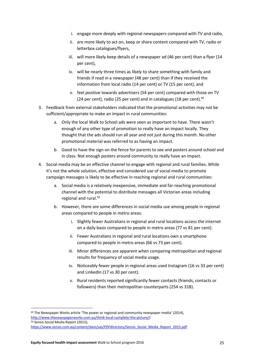- i. engage more deeply with regional newspapers compared with TV and radio,
- ii. are more likely to act on, keep or share content compared with TV, radio or letterbox catalogues/flyers,
- iii. will more likely keep details of a newspaper ad (46 per cent) than a flyer (14 per cent),
- iv. will be nearly three times as likely to share something with family and friends if read in a newspaper (48 per cent) than if they received the information from local radio (14 per cent) or TV (15 per cent), and
- v. feel positive towards advertisers (54 per cent) compared with those on TV (24 per cent), radio (25 per cent) and in catalogues (18 per cent).<sup>49</sup>
- 3. Feedback from external stakeholders indicated that the promotional activities may not be sufficient/appropriate to make an impact in rural communities:
	- a. Only the local Walk to School ads were seen as important to have. There wasn't enough of any other type of promotion to really have an impact locally. They thought that the ads should run all year and not just during this month. No other promotional material was referred to as having an impact.
	- b. Good to have the sign on the fence for parents to see and posters around school and in class. Not enough posters around community to really have an impact.
- 4. Social media may be an effective channel to engage with regional and rural families. While it's not the whole solution, effective and considered use of social media to promote campaign messages is likely to be effective in reaching regional and rural communities:
	- a. Social media is a relatively inexpensive, immediate and far-reaching promotional channel with the potential to distribute messages all Victorian areas including regional and rural.<sup>50</sup>
	- b. However, there are some differences in social media use among people in regional areas compared to people in metro areas:
		- i. Slightly fewer Australians in regional and rural locations access the internet on a daily basis compared to people in metro areas (77 vs 81 per cent).
		- ii. Fewer Australians in regional and rural locations own a smartphone compared to people in metro areas (66 vs 73 per cent).
		- iii. Minor differences are apparent when comparing metropolitan and regional results for frequency of social media usage.
		- iv. Noticeably fewer people in regional areas used Instagram (16 vs 33 per cent) and LinkedIn (17 vs 30 per cent).
		- v. Rural residents reported significantly fewer contacts (friends, contacts or followers) than their metropolitan counterparts (254 vs 318).

1

 $49$  The Newspaper Works article 'The power or regional and community newspaper media' (2014), [http://www.thenewspaperworks.com.au/think-local-complete-the-picture/\)](http://www.thenewspaperworks.com.au/think-local-complete-the-picture/) <sup>50</sup> Sensis Social Media Report (2015),

[https://www.sensis.com.au/content/dam/sas/PDFdirectory/Sensis\\_Social\\_Media\\_Report\\_2015.pdf](https://www.sensis.com.au/content/dam/sas/PDFdirectory/Sensis_Social_Media_Report_2015.pdf)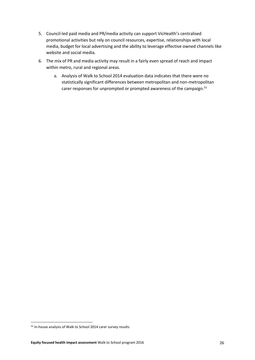- 5. Council-led paid media and PR/media activity can support VicHealth's centralised promotional activities but rely on council resources, expertise, relationships with local media, budget for local advertising and the ability to leverage effective owned channels like website and social media.
- 6. The mix of PR and media activity may result in a fairly even spread of reach and impact within metro, rural and regional areas.
	- a. Analysis of Walk to School 2014 evaluation data indicates that there were no statistically significant differences between metropolitan and non-metropolitan carer responses for unprompted or prompted awareness of the campaign.<sup>51</sup>

<sup>51</sup> In-house analysis of Walk to School 2014 carer survey results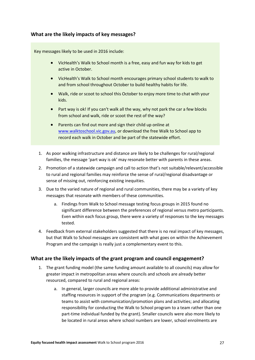## <span id="page-27-0"></span>**What are the likely impacts of key messages?**

Key messages likely to be used in 2016 include:

- VicHealth's Walk to School month is a free, easy and fun way for kids to get active in October.
- VicHealth's Walk to School month encourages primary school students to walk to and from school throughout October to build healthy habits for life.
- Walk, ride or scoot to school this October to enjoy more time to chat with your kids.
- Part way is ok! If you can't walk all the way, why not park the car a few blocks from school and walk, ride or scoot the rest of the way?
- Parents can find out more and sign their child up online at [www.walktoschool.vic.gov.au,](http://www.walktoschool.vic.gov.au/) or download the free Walk to School app to record each walk in October and be part of the statewide effort.
- 1. As poor walking infrastructure and distance are likely to be challenges for rural/regional families, the message 'part way is ok' may resonate better with parents in these areas.
- 2. Promotion of a statewide campaign and call to action that's not suitable/relevant/accessible to rural and regional families may reinforce the sense of rural/regional disadvantage or sense of missing out, reinforcing existing inequities.
- 3. Due to the varied nature of regional and rural communities, there may be a variety of key messages that resonate with members of these communities.
	- a. Findings from Walk to School message testing focus groups in 2015 found no significant difference between the preferences of regional versus metro participants. Even within each focus group, there were a variety of responses to the key messages tested.
- 4. Feedback from external stakeholders suggested that there is no real impact of key messages, but that Walk to School messages are consistent with what goes on within the Achievement Program and the campaign is really just a complementary event to this.

## <span id="page-27-1"></span>**What are the likely impacts of the grant program and council engagement?**

- 1. The grant funding model (the same funding amount available to all councils) may allow for greater impact in metropolitan areas where councils and schools are already better resourced, compared to rural and regional areas:
	- a. In general, larger councils are more able to provide additional administrative and staffing resources in support of the program (e.g. Communications departments or teams to assist with communication/promotion plans and activities; and allocating responsibility for conducting the Walk to School program to a team rather than one part-time individual funded by the grant). Smaller councils were also more likely to be located in rural areas where school numbers are lower, school enrolments are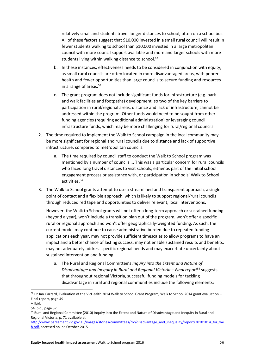relatively small and students travel longer distances to school, often on a school bus. All of these factors suggest that \$10,000 invested in a small rural council will result in fewer students walking to school than \$10,000 invested in a large metropolitan council with more council support available and more and larger schools with more students living within walking distance to school.<sup>52</sup>

- b. In these instances, effectiveness needs to be considered in conjunction with equity, as small rural councils are often located in more disadvantaged areas, with poorer health and fewer opportunities than large councils to secure funding and resources in a range of areas. $53$
- c. The grant program does not include significant funds for infrastructure (e.g. park and walk facilities and footpaths) development, so two of the key barriers to participation in rural/regional areas, distance and lack of infrastructure, cannot be addressed within the program. Other funds would need to be sought from other funding agencies (requiring additional administration) or leveraging council infrastructure funds, which may be more challenging for rural/regional councils.
- 2. The time required to implement the Walk to School campaign in the local community may be more significant for regional and rural councils due to distance and lack of supportive infrastructure, compared to metropolitan councils:
	- a. The time required by council staff to conduct the Walk to School program was mentioned by a number of councils ... This was a particular concern for rural councils who faced long travel distances to visit schools, either as part of the initial school engagement process or assistance with, or participation in schools' Walk to School activities.<sup>54</sup>
- 3. The Walk to School grants attempt to use a streamlined and transparent approach, a single point of contact and a flexible approach, which is likely to support regional/rural councils through reduced red tape and opportunities to deliver relevant, local interventions.

However, the Walk to School grants will not offer a long-term approach or sustained funding (beyond a year), won't include a transition plan out of the program, won't offer a specific rural or regional approach and won't offer geographically-weighted funding. As such, the current model may continue to cause administrative burden due to repeated funding applications each year, may not provide sufficient timescales to allow programs to have an impact and a better chance of lasting success, may not enable sustained results and benefits, may not adequately address specific regional needs and may exacerbate uncertainty about sustained intervention and funding.

a. The Rural and Regional Committee's *Inquiry into the Extent and Nature of Disadvantage and Inequity in Rural and Regional Victoria – Final report*<sup>55</sup> suggests that throughout regional Victoria, successful funding models for tackling disadvantage in rural and regional communities include the following elements:

<sup>52</sup> Dr Jan Garrard, Evaluation of the VicHealth 2014 Walk to School Grant Program, Walk to School 2014 grant evaluation – Final report, page 49

<sup>53</sup> Ibid.

<sup>54</sup> Ibid., page 37

<sup>55</sup> Rural and Regional Committee (2010) Inquiry into the Extent and Nature of Disadvantage and Inequity in Rural and Regional Victoria, p. 71 available at

[http://www.parliament.vic.gov.au/images/stories/committees/rrc/disadvantage\\_and\\_inequality/report/20101014\\_for\\_we](http://www.parliament.vic.gov.au/images/stories/committees/rrc/disadvantage_and_inequality/report/20101014_for_web.pdf) [b.pdf,](http://www.parliament.vic.gov.au/images/stories/committees/rrc/disadvantage_and_inequality/report/20101014_for_web.pdf) accessed online October 2015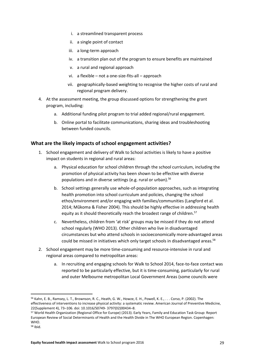- i. a streamlined transparent process
- ii. a single point of contact
- iii. a long‐term approach
- iv. a transition plan out of the program to ensure benefits are maintained
- v. a rural and regional approach
- vi. a flexible not a one‐size‐fits‐all approach
- vii. geographically-based weighting to recognise the higher costs of rural and regional program delivery.
- 4. At the assessment meeting, the group discussed options for strengthening the grant program, including:
	- a. Additional funding pilot program to trial added regional/rural engagement.
	- b. Online portal to facilitate communications, sharing ideas and troubleshooting between funded councils.

## <span id="page-29-0"></span>**What are the likely impacts of school engagement activities?**

- 1. School engagement and delivery of Walk to School activities is likely to have a positive impact on students in regional and rural areas:
	- a. Physical education for school children through the school curriculum, including the promotion of physical activity has been shown to be effective with diverse populations and in diverse settings (e.g. rural or urban). 56
	- b. School settings generally use whole-of-population approaches, such as integrating health promotion into school curriculum and policies, changing the school ethos/environment and/or engaging with families/communities (Langford et al. 2014; Mũkoma & Fisher 2004). This should be highly effective in addressing health equity as it should theoretically reach the broadest range of children.<sup>57</sup>
	- c. Nevertheless, children from 'at risk' groups may be missed if they do not attend school regularly (WHO 2013). Other children who live in disadvantaged circumstances but who attend schools in socioeconomically more-advantaged areas could be missed in initiatives which only target schools in disadvantaged areas. 58
- 2. School engagement may be more time-consuming and resource-intensive in rural and regional areas compared to metropolitan areas:
	- a. In recruiting and engaging schools for Walk to School 2014, face-to-face contact was reported to be particularly effective, but it is time-consuming, particularly for rural and outer Melbourne metropolitan Local Government Areas (some councils were

1

<sup>56</sup> Kahn, E. B., Ramsey, L. T., Brownson, R. C., Heath, G. W., Howze, E. H., Powell, K. E., . . . Corso, P. (2002). The effectiveness of interventions to increase physical activity: a systematic review. American Journal of Preventive Medicine, 22(Supplement 4), 73–106. doi: 10.1016/S0749- 3797(02)00434–8.

<sup>57</sup> World Health Organization (Regional Office for Europe) (2013). Early Years, Family and Education Task Group: Report European Review of Social Determinants of Health and the Health Divide in The WHO European Region. Copenhagen: WHO.

<sup>58</sup> Ibid.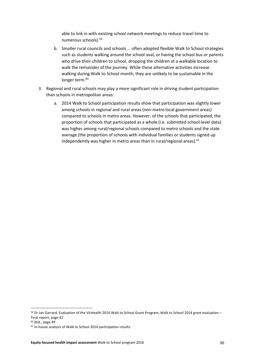able to link in with existing school network meetings to reduce travel time to numerous schools). 59

- b. Smaller rural councils and schools … often adopted flexible Walk to School strategies such as students walking around the school oval, or having the school bus or parents who drive their children to school, dropping the children at a walkable location to walk the remainder of the journey. While these alternative activities increase walking during Walk to School month, they are unlikely to be sustainable in the longer term.<sup>60</sup>
- 3. Regional and rural schools may play a more significant role in driving student participation than schools in metropolitan areas:
	- a. 2014 Walk to School participation results show that participation was slightly lower among schools in regional and rural areas (non-metro local government areas) compared to schools in metro areas. However, of the schools that participated, the proportion of schools that participated as a whole (i.e. submitted school-level data) was higher among rural/regional schools compared to metro schools and the state average (the proportion of schools with individual families or students signed up independently was higher in metro areas than in rural/regional areas).<sup>61</sup>

1

<sup>59</sup> Dr Jan Garrard, Evaluation of the VicHealth 2014 Walk to School Grant Program, Walk to School 2014 grant evaluation -Final report, page 42

<sup>60</sup> Ibid., page 49

<sup>61</sup> In-house analysis of Walk to School 2014 participation results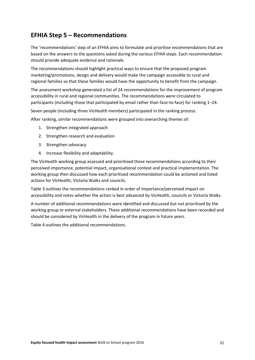# <span id="page-31-0"></span>**EFHIA Step 5 – Recommendations**

The 'recommendations' step of an EFHIA aims to formulate and prioritise recommendations that are based on the answers to the questions asked during the various EFHIA steps. Each recommendation should provide adequate evidence and rationale.

The recommendations should highlight practical ways to ensure that the proposed program marketing/promotions, design and delivery would make the campaign accessible to rural and regional families so that these families would have the opportunity to benefit from the campaign.

The assessment workshop generated a list of 24 recommendations for the improvement of program accessibility in rural and regional communities. The recommendations were circulated to participants (including those that participated by email rather than face-to-face) for ranking 1–24.

Seven people (including three VicHealth members) participated in the ranking process.

After ranking, similar recommendations were grouped into overarching themes of:

- 1. Strengthen integrated approach
- 2. Strengthen research and evaluation
- 3. Strengthen advocacy
- 4. Increase flexibility and adaptability.

The VicHealth working group assessed and prioritised these recommendations according to their perceived importance, potential impact, organisational context and practical implementation. The working group then discussed how each prioritised recommendation could be actioned and listed actions for VicHealth, Victoria Walks and councils.

Table 3 outlines the recommendations ranked in order of importance/perceived impact on accessibility and notes whether the action is best advanced by VicHealth, councils or Victoria Walks.

A number of additional recommendations were identified and discussed but not prioritised by the working group or external stakeholders. These additional recommendations have been recorded and should be considered by VicHealth in the delivery of the program in future years.

Table 4 outlines the additional recommendations.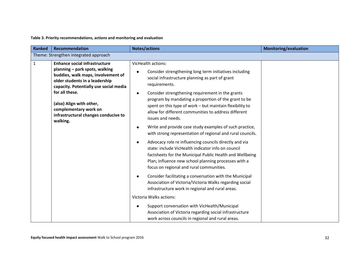#### **Table 3. Priority recommendations, actions and monitoring and evaluation**

| <b>Ranked</b> | Recommendation                                                                                                                                                                           | <b>Notes/actions</b>                                                                                                                                                                                                                                                         | Monitoring/evaluation |  |  |
|---------------|------------------------------------------------------------------------------------------------------------------------------------------------------------------------------------------|------------------------------------------------------------------------------------------------------------------------------------------------------------------------------------------------------------------------------------------------------------------------------|-----------------------|--|--|
|               | Theme: Strengthen integrated approach                                                                                                                                                    |                                                                                                                                                                                                                                                                              |                       |  |  |
| $\mathbf{1}$  | <b>Enhance social infrastructure</b><br>planning - park spots, walking<br>buddies, walk maps, involvement of<br>older students in a leadership<br>capacity. Potentially use social media | VicHealth actions:<br>Consider strengthening long term initiatives including<br>٠<br>social infrastructure planning as part of grant<br>requirements.                                                                                                                        |                       |  |  |
|               | for all these.<br>(also) Align with other,<br>complementary work on<br>infrastructural changes conducive to<br>walking.                                                                  | Consider strengthening requirement in the grants<br>٠<br>program by mandating a proportion of the grant to be<br>spent on this type of work - but maintain flexibility to<br>allow for different communities to address different<br>issues and needs.                       |                       |  |  |
|               |                                                                                                                                                                                          | Write and provide case study examples of such practice,<br>٠<br>with strong representation of regional and rural councils.                                                                                                                                                   |                       |  |  |
|               |                                                                                                                                                                                          | Advocacy role re influencing councils directly and via<br>state: include VicHealth indicator info on council<br>factsheets for the Municipal Public Health and Wellbeing<br>Plan; influence new school planning processes with a<br>focus on regional and rural communities. |                       |  |  |
|               |                                                                                                                                                                                          | Consider facilitating a conversation with the Municipal<br>٠<br>Association of Victoria/Victoria Walks regarding social<br>infrastructure work in regional and rural areas.                                                                                                  |                       |  |  |
|               |                                                                                                                                                                                          | Victoria Walks actions:                                                                                                                                                                                                                                                      |                       |  |  |
|               |                                                                                                                                                                                          | Support conversation with VicHealth/Municipal<br>Association of Victoria regarding social infrastructure<br>work across councils in regional and rural areas.                                                                                                                |                       |  |  |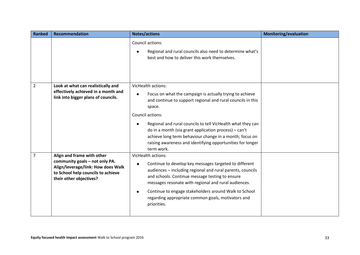| <b>Ranked</b>  | Recommendation                                                                                                                                                      | <b>Notes/actions</b>                                                                                                                                                                                                                                                                                                                                                                                                                       | Monitoring/evaluation |
|----------------|---------------------------------------------------------------------------------------------------------------------------------------------------------------------|--------------------------------------------------------------------------------------------------------------------------------------------------------------------------------------------------------------------------------------------------------------------------------------------------------------------------------------------------------------------------------------------------------------------------------------------|-----------------------|
|                |                                                                                                                                                                     | Council actions:<br>Regional and rural councils also need to determine what's<br>best and how to deliver this work themselves.                                                                                                                                                                                                                                                                                                             |                       |
| $\overline{2}$ | Look at what can realistically and<br>effectively achieved in a month and<br>link into bigger plans of councils.                                                    | VicHealth actions:<br>Focus on what the campaign is actually trying to achieve<br>and continue to support regional and rural councils in this<br>space.<br>Council actions:<br>Regional and rural councils to tell VicHealth what they can<br>do in a month (via grant application process) – can't<br>achieve long term behaviour change in a month; focus on<br>raising awareness and identifying opportunities for longer<br>term work. |                       |
| 7              | Align and frame with other<br>community goals - not only PA.<br>Align/leverage/link: How does Walk<br>to School help councils to achieve<br>their other objectives? | VicHealth actions:<br>Continue to develop key messages targeted to different<br>audiences - including regional and rural parents, councils<br>and schools. Continue message testing to ensure<br>messages resonate with regional and rural audiences.<br>Continue to engage stakeholders around Walk to School<br>regarding appropriate common goals, motivators and<br>priorities.                                                        |                       |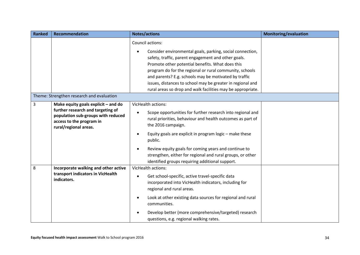| <b>Ranked</b>  | Recommendation                                                                                                               | <b>Notes/actions</b>                                                                                                                                                                                                                                                                                                                                                                                                                      | Monitoring/evaluation |
|----------------|------------------------------------------------------------------------------------------------------------------------------|-------------------------------------------------------------------------------------------------------------------------------------------------------------------------------------------------------------------------------------------------------------------------------------------------------------------------------------------------------------------------------------------------------------------------------------------|-----------------------|
|                | Theme: Strengthen research and evaluation                                                                                    | Council actions:<br>Consider environmental goals, parking, social connection,<br>safety, traffic, parent engagement and other goals.<br>Promote other potential benefits. What does this<br>program do for the regional or rural community, schools<br>and parents? E.g. schools may be motivated by traffic<br>issues, distances to school may be greater in regional and<br>rural areas so drop and walk facilities may be appropriate. |                       |
| $\overline{3}$ | Make equity goals explicit - and do                                                                                          | VicHealth actions:                                                                                                                                                                                                                                                                                                                                                                                                                        |                       |
|                | further research and targeting of<br>population sub-groups with reduced<br>access to the program in<br>rural/regional areas. | Scope opportunities for further research into regional and<br>rural priorities, behaviour and health outcomes as part of<br>the 2016 campaign.<br>Equity goals are explicit in program logic - make these<br>public.<br>Review equity goals for coming years and continue to<br>strengthen, either for regional and rural groups, or other<br>identified groups requiring additional support.                                             |                       |
| 8              | Incorporate walking and other active<br>transport indicators in VicHealth<br>indicators.                                     | VicHealth actions:<br>Get school-specific, active travel-specific data<br>incorporated into VicHealth indicators, including for                                                                                                                                                                                                                                                                                                           |                       |
|                |                                                                                                                              | regional and rural areas.                                                                                                                                                                                                                                                                                                                                                                                                                 |                       |
|                |                                                                                                                              | Look at other existing data sources for regional and rural<br>communities.                                                                                                                                                                                                                                                                                                                                                                |                       |
|                |                                                                                                                              | Develop better (more comprehensive/targeted) research<br>questions, e.g. regional walking rates.                                                                                                                                                                                                                                                                                                                                          |                       |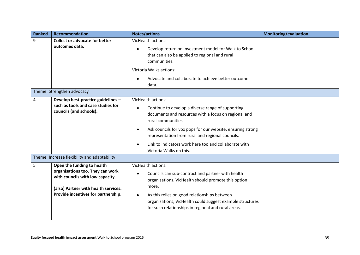| <b>Ranked</b> | Recommendation                                                                                                                                                                    | <b>Notes/actions</b>                                                                                                                                                                                                                                                                                                                                             | <b>Monitoring/evaluation</b> |
|---------------|-----------------------------------------------------------------------------------------------------------------------------------------------------------------------------------|------------------------------------------------------------------------------------------------------------------------------------------------------------------------------------------------------------------------------------------------------------------------------------------------------------------------------------------------------------------|------------------------------|
| 9             | <b>Collect or advocate for better</b><br>outcomes data.                                                                                                                           | <b>VicHealth actions:</b><br>Develop return on investment model for Walk to School<br>that can also be applied to regional and rural<br>communities.<br>Victoria Walks actions:<br>Advocate and collaborate to achieve better outcome<br>data.                                                                                                                   |                              |
|               | Theme: Strengthen advocacy                                                                                                                                                        |                                                                                                                                                                                                                                                                                                                                                                  |                              |
| 4             | Develop best-practice guidelines -<br>such as tools and case studies for<br>councils (and schools).<br>Theme: Increase flexibility and adaptability                               | VicHealth actions:<br>Continue to develop a diverse range of supporting<br>documents and resources with a focus on regional and<br>rural communities.<br>Ask councils for vox pops for our website, ensuring strong<br>٠<br>representation from rural and regional councils.<br>Link to indicators work here too and collaborate with<br>Victoria Walks on this. |                              |
| 5             | Open the funding to health<br>organisations too. They can work<br>with councils with low capacity.<br>(also) Partner with health services.<br>Provide incentives for partnership. | VicHealth actions:<br>Councils can sub-contract and partner with health<br>organisations. VicHealth should promote this option<br>more.<br>As this relies on good relationships between<br>٠<br>organisations, VicHealth could suggest example structures<br>for such relationships in regional and rural areas.                                                 |                              |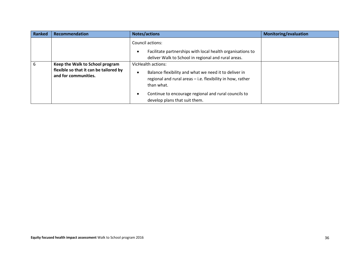| <b>Ranked</b> | <b>Recommendation</b>                                          | <b>Notes/actions</b>                                                                                                              | Monitoring/evaluation |
|---------------|----------------------------------------------------------------|-----------------------------------------------------------------------------------------------------------------------------------|-----------------------|
|               |                                                                | Council actions:                                                                                                                  |                       |
|               |                                                                | Facilitate partnerships with local health organisations to<br>deliver Walk to School in regional and rural areas.                 |                       |
| 6             | Keep the Walk to School program                                | <b>VicHealth actions:</b>                                                                                                         |                       |
|               | flexible so that it can be tailored by<br>and for communities. | Balance flexibility and what we need it to deliver in<br>regional and rural areas - i.e. flexibility in how, rather<br>than what. |                       |
|               |                                                                | Continue to encourage regional and rural councils to<br>develop plans that suit them.                                             |                       |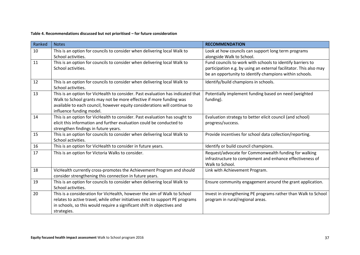#### **Table 4. Recommendations discussed but not prioritised – for future consideration**

| Ranked | <b>Notes</b>                                                                                                                                                                                                                                                    | <b>RECOMMENDATION</b>                                                                                                                                                                       |
|--------|-----------------------------------------------------------------------------------------------------------------------------------------------------------------------------------------------------------------------------------------------------------------|---------------------------------------------------------------------------------------------------------------------------------------------------------------------------------------------|
| 10     | This is an option for councils to consider when delivering local Walk to<br>School activities.                                                                                                                                                                  | Look at how councils can support long term programs<br>alongside Walk to School.                                                                                                            |
| 11     | This is an option for councils to consider when delivering local Walk to<br>School activities.                                                                                                                                                                  | Fund councils to work with schools to identify barriers to<br>participation e.g. by using an external facilitator. This also may<br>be an opportunity to identify champions within schools. |
| 12     | This is an option for councils to consider when delivering local Walk to<br>School activities.                                                                                                                                                                  | Identify/build champions in schools.                                                                                                                                                        |
| 13     | This is an option for VicHealth to consider. Past evaluation has indicated that<br>Walk to School grants may not be more effective if more funding was<br>available to each council, however equity considerations will continue to<br>influence funding model. | Potentially implement funding based on need (weighted<br>funding).                                                                                                                          |
| 14     | This is an option for VicHealth to consider. Past evaluation has sought to<br>elicit this information and further evaluation could be conducted to<br>strengthen findings in future years.                                                                      | Evaluation strategy to better elicit council (and school)<br>progress/success.                                                                                                              |
| 15     | This is an option for councils to consider when delivering local Walk to<br>School activities.                                                                                                                                                                  | Provide incentives for school data collection/reporting.                                                                                                                                    |
| 16     | This is an option for VicHealth to consider in future years.                                                                                                                                                                                                    | Identify or build council champions.                                                                                                                                                        |
| 17     | This is an option for Victoria Walks to consider.                                                                                                                                                                                                               | Request/advocate for Commonwealth funding for walking<br>infrastructure to complement and enhance effectiveness of<br>Walk to School.                                                       |
| 18     | VicHealth currently cross-promotes the Achievement Program and should<br>consider strengthening this connection in future years.                                                                                                                                | Link with Achievement Program.                                                                                                                                                              |
| 19     | This is an option for councils to consider when delivering local Walk to<br>School activities.                                                                                                                                                                  | Ensure community engagement around the grant application.                                                                                                                                   |
| 20     | This is a consideration for VicHealth, however the aim of Walk to School<br>relates to active travel, while other initiatives exist to support PE programs<br>in schools, so this would require a significant shift in objectives and<br>strategies.            | Invest in strengthening PE programs rather than Walk to School<br>program in rural/regional areas.                                                                                          |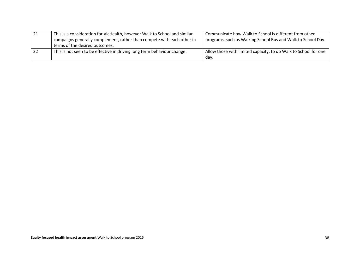| 21  | This is a consideration for VicHealth, however Walk to School and similar | Communicate how Walk to School is different from other          |
|-----|---------------------------------------------------------------------------|-----------------------------------------------------------------|
|     | campaigns generally complement, rather than compete with each other in    | programs, such as Walking School Bus and Walk to School Day.    |
|     | terms of the desired outcomes.                                            |                                                                 |
| -22 | This is not seen to be effective in driving long term behaviour change.   | Allow those with limited capacity, to do Walk to School for one |
|     |                                                                           | day.                                                            |